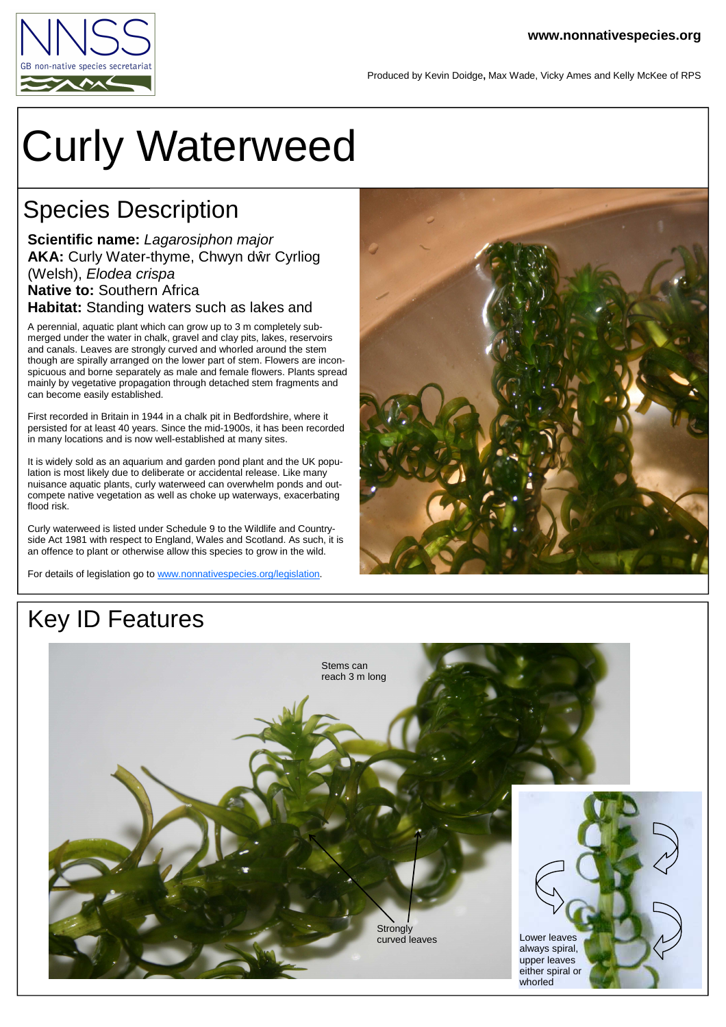

Produced by Kevin Doidge**,** Max Wade, Vicky Ames and Kelly McKee of RPS

# Curly Waterweed

#### Species Description

**Scientific name:** Lagarosiphon major **AKA:** Curly Water-thyme, Chwyn d<sup>ŵ</sup> r Cyrliog (Welsh), Elodea crispa **Native to:** Southern Africa **Habitat:** Standing waters such as lakes and

A perennial, aquatic plant which can grow up to 3 m completely submerged under the water in chalk, gravel and clay pits, lakes, reservoirs and canals. Leaves are strongly curved and whorled around the stem though are spirally arranged on the lower part of stem. Flowers are inconspicuous and borne separately as male and female flowers. Plants spread mainly by vegetative propagation through detached stem fragments and can become easily established.

First recorded in Britain in 1944 in a chalk pit in Bedfordshire, where it persisted for at least 40 years. Since the mid-1900s, it has been recorded in many locations and is now well-established at many sites.

It is widely sold as an aquarium and garden pond plant and the UK population is most likely due to deliberate or accidental release. Like many nuisance aquatic plants, curly waterweed can overwhelm ponds and outcompete native vegetation as well as choke up waterways, exacerbating flood risk.

Curly waterweed is listed under Schedule 9 to the Wildlife and Countryside Act 1981 with respect to England, Wales and Scotland. As such, it is an offence to plant or otherwise allow this species to grow in the wild.

For details of legislation go to www.nonnativespecies.org/legislation.



## Key ID Features